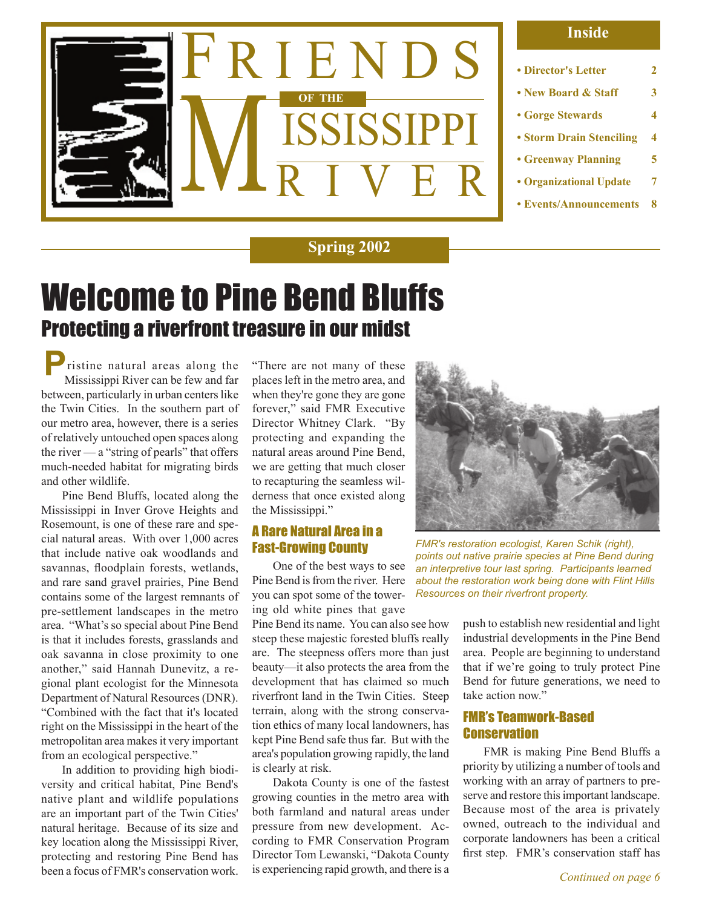

#### **Inside**

- **Director's Letter 2**
- **New Board & Staff 3**
- **Gorge Stewards 4**
- **Storm Drain Stenciling 4**
- **Greenway Planning 5**
- **Organizational Update 7**
- **Events/Announcements 8**

### **Spring 2002**

## Welcome to Pine Bend Bluffs Protecting a riverfront treasure in our midst

 ristine natural areas along the Mississippi River can be few and far between, particularly in urban centers like the Twin Cities. In the southern part of our metro area, however, there is a series of relatively untouched open spaces along the river  $\frac{a}{b}$  "string of pearls" that offers much-needed habitat for migrating birds and other wildlife. **P**

Pine Bend Bluffs, located along the Mississippi in Inver Grove Heights and Rosemount, is one of these rare and special natural areas. With over 1,000 acres that include native oak woodlands and savannas, floodplain forests, wetlands, and rare sand gravel prairies, Pine Bend contains some of the largest remnants of pre-settlement landscapes in the metro area. "What's so special about Pine Bend is that it includes forests, grasslands and oak savanna in close proximity to one another," said Hannah Dunevitz, a regional plant ecologist for the Minnesota Department of Natural Resources (DNR). "Combined with the fact that it's located right on the Mississippi in the heart of the metropolitan area makes it very important from an ecological perspective."

In addition to providing high biodiversity and critical habitat, Pine Bend's native plant and wildlife populations are an important part of the Twin Cities' natural heritage. Because of its size and key location along the Mississippi River, protecting and restoring Pine Bend has been a focus of FMR's conservation work.

"There are not many of these places left in the metro area, and when they're gone they are gone forever," said FMR Executive Director Whitney Clark. "By protecting and expanding the natural areas around Pine Bend, we are getting that much closer to recapturing the seamless wilderness that once existed along the Mississippi."

### A Rare Natural Area in a Fast-Growing County

One of the best ways to see Pine Bend is from the river. Here you can spot some of the towering old white pines that gave

Pine Bend its name. You can also see how steep these majestic forested bluffs really are. The steepness offers more than just beauty—it also protects the area from the development that has claimed so much riverfront land in the Twin Cities. Steep terrain, along with the strong conservation ethics of many local landowners, has kept Pine Bend safe thus far. But with the area's population growing rapidly, the land is clearly at risk.

Dakota County is one of the fastest growing counties in the metro area with both farmland and natural areas under pressure from new development. According to FMR Conservation Program Director Tom Lewanski, "Dakota County is experiencing rapid growth, and there is a



*FMR's restoration ecologist, Karen Schik (right), points out native prairie species at Pine Bend during an interpretive tour last spring. Participants learned about the restoration work being done with Flint Hills Resources on their riverfront property.*

push to establish new residential and light industrial developments in the Pine Bend area. People are beginning to understand that if we're going to truly protect Pine Bend for future generations, we need to take action now."

### FMR's Teamwork-Based **Conservation**

FMR is making Pine Bend Bluffs a priority by utilizing a number of tools and working with an array of partners to preserve and restore this important landscape. Because most of the area is privately owned, outreach to the individual and corporate landowners has been a critical first step. FMR's conservation staff has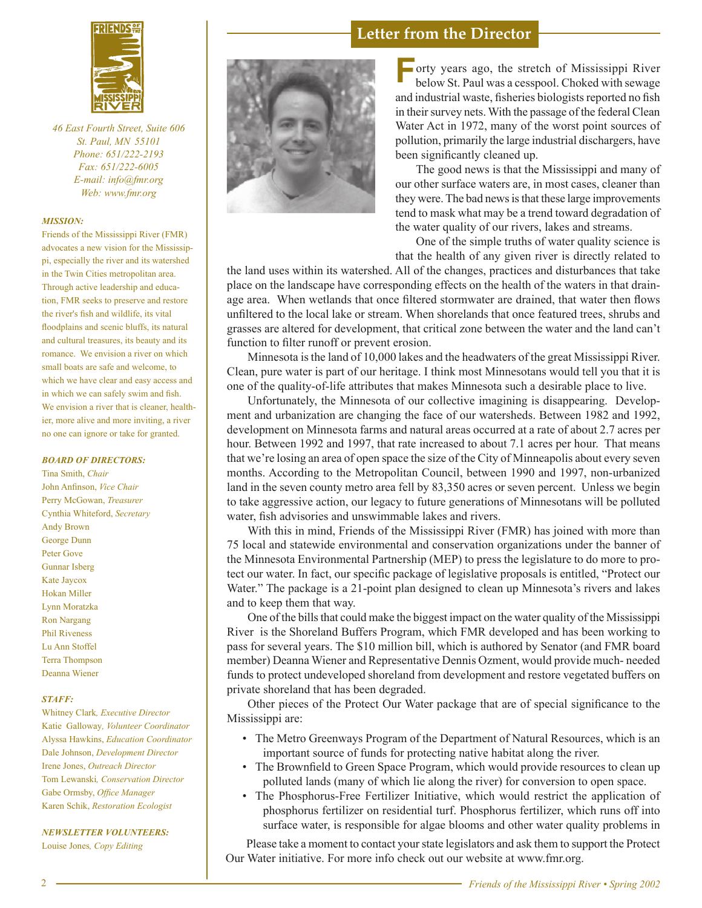

*46 East Fourth Street, Suite 606 St. Paul, MN 55101 Phone: 651/222-2193 Fax: 651/222-6005 E-mail: info@fmr.org Web: www.fmr.org*

#### *MISSION:*

Friends of the Mississippi River (FMR) advocates a new vision for the Mississippi, especially the river and its watershed in the Twin Cities metropolitan area. Through active leadership and education, FMR seeks to preserve and restore the river's fish and wildlife, its vital floodplains and scenic bluffs, its natural and cultural treasures, its beauty and its romance. We envision a river on which small boats are safe and welcome, to which we have clear and easy access and in which we can safely swim and fish. We envision a river that is cleaner, healthier, more alive and more inviting, a river no one can ignore or take for granted.

#### *BOARD OF DIRECTORS:*

Tina Smith, *Chair* John Anfinson, *Vice Chair* Perry McGowan, *Treasurer* Cynthia Whiteford, *Secretary* Andy Brown George Dunn Peter Gove Gunnar Isberg Kate Jaycox Hokan Miller Lynn Moratzka Ron Nargang Phil Riveness Lu Ann Stoffel Terra Thompson Deanna Wiener

#### *STAFF:*

Whitney Clark*, Executive Director* Katie Galloway*, Volunteer Coordinator* Alyssa Hawkins, *Education Coordinator* Dale Johnson, *Development Director* Irene Jones, *Outreach Director* Tom Lewanski*, Conservation Director* Gabe Ormsby, *Office Manager* Karen Schik, *Restoration Ecologist*

#### *NEWSLETTER VOLUNTEERS:*

Louise Jones*, Copy Editing*



### **Letter from the Director**

**F** orty years ago, the stretch of Mississippi River below St. Paul was a cesspool. Choked with sewage and industrial waste, fisheries biologists reported no fish in their survey nets. With the passage of the federal Clean Water Act in 1972, many of the worst point sources of pollution, primarily the large industrial dischargers, have been significantly cleaned up.

The good news is that the Mississippi and many of our other surface waters are, in most cases, cleaner than they were. The bad news is that these large improvements tend to mask what may be a trend toward degradation of the water quality of our rivers, lakes and streams.

One of the simple truths of water quality science is that the health of any given river is directly related to

the land uses within its watershed. All of the changes, practices and disturbances that take place on the landscape have corresponding effects on the health of the waters in that drainage area. When wetlands that once filtered stormwater are drained, that water then flows unfiltered to the local lake or stream. When shorelands that once featured trees, shrubs and grasses are altered for development, that critical zone between the water and the land can't function to filter runoff or prevent erosion.

Minnesota is the land of 10,000 lakes and the headwaters of the great Mississippi River. Clean, pure water is part of our heritage. I think most Minnesotans would tell you that it is one of the quality-of-life attributes that makes Minnesota such a desirable place to live.

Unfortunately, the Minnesota of our collective imagining is disappearing. Development and urbanization are changing the face of our watersheds. Between 1982 and 1992, development on Minnesota farms and natural areas occurred at a rate of about 2.7 acres per hour. Between 1992 and 1997, that rate increased to about 7.1 acres per hour. That means that we're losing an area of open space the size of the City of Minneapolis about every seven months. According to the Metropolitan Council, between 1990 and 1997, non-urbanized land in the seven county metro area fell by 83,350 acres or seven percent. Unless we begin to take aggressive action, our legacy to future generations of Minnesotans will be polluted water, fish advisories and unswimmable lakes and rivers.

With this in mind, Friends of the Mississippi River (FMR) has joined with more than 75 local and statewide environmental and conservation organizations under the banner of the Minnesota Environmental Partnership (MEP) to press the legislature to do more to protect our water. In fact, our specific package of legislative proposals is entitled, "Protect our Water." The package is a 21-point plan designed to clean up Minnesota's rivers and lakes and to keep them that way.

One of the bills that could make the biggest impact on the water quality of the Mississippi River is the Shoreland Buffers Program, which FMR developed and has been working to pass for several years. The \$10 million bill, which is authored by Senator (and FMR board member) Deanna Wiener and Representative Dennis Ozment, would provide much- needed funds to protect undeveloped shoreland from development and restore vegetated buffers on private shoreland that has been degraded.

Other pieces of the Protect Our Water package that are of special significance to the Mississippi are:

- The Metro Greenways Program of the Department of Natural Resources, which is an important source of funds for protecting native habitat along the river.
- The Brownfield to Green Space Program, which would provide resources to clean up polluted lands (many of which lie along the river) for conversion to open space.
- The Phosphorus-Free Fertilizer Initiative, which would restrict the application of phosphorus fertilizer on residential turf. Phosphorus fertilizer, which runs off into surface water, is responsible for algae blooms and other water quality problems in

Please take a moment to contact your state legislators and ask them to support the Protect Our Water initiative. For more info check out our website at www.fmr.org.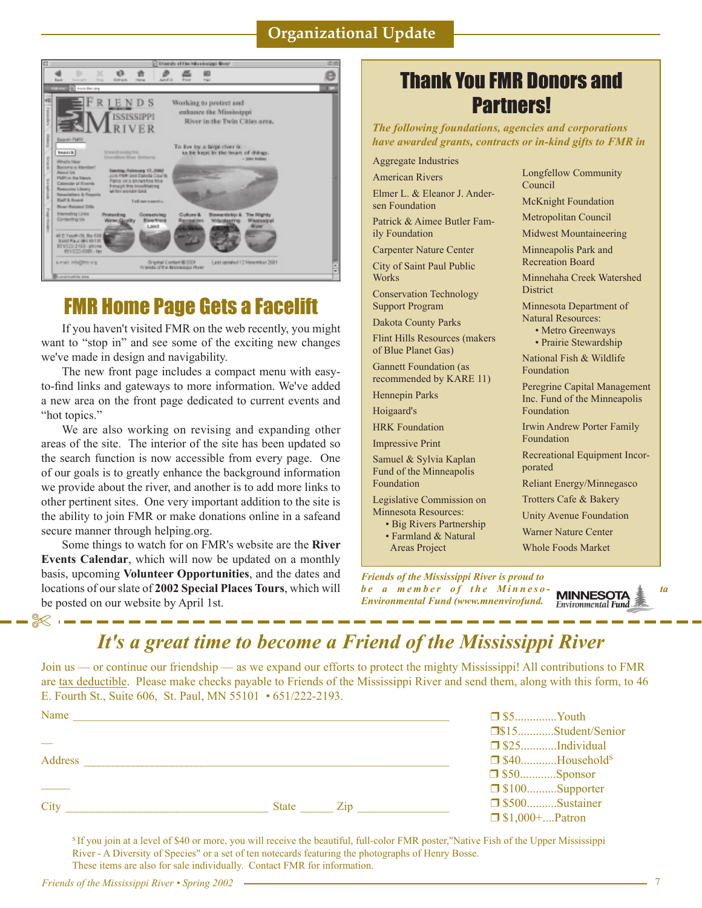### **Organizational Update**



### FMR Home Page Gets a Facelift

If you haven't visited FMR on the web recently, you might want to "stop in" and see some of the exciting new changes we've made in design and navigability.

The new front page includes a compact menu with easyto-find links and gateways to more information. We've added a new area on the front page dedicated to current events and "hot topics."

We are also working on revising and expanding other areas of the site. The interior of the site has been updated so the search function is now accessible from every page. One of our goals is to greatly enhance the background information we provide about the river, and another is to add more links to other pertinent sites. One very important addition to the site is the ability to join FMR or make donations online in a safeand secure manner through helping.org.

Some things to watch for on FMR's website are the **River Events Calendar**, which will now be updated on a monthly basis, upcoming **Volunteer Opportunities**, and the dates and locations of our slate of **2002 Special Places Tours**, which will be posted on our website by April 1st.

### Thank You FMR Donors and Partners!

*The following foundations, agencies and corporations have awarded grants, contracts or in-kind gifts to FMR in* 

Aggregate Industries

American Rivers Elmer L. & Eleanor J. Andersen Foundation

Patrick & Aimee Butler Fam-

ily Foundation Carpenter Nature Center

City of Saint Paul Public **Works** 

Conservation Technology Support Program

Dakota County Parks

Flint Hills Resources (makers of Blue Planet Gas)

Gannett Foundation (as recommended by KARE 11) Hennepin Parks

Hoigaard's

HRK Foundation

Impressive Print

Samuel & Sylvia Kaplan Fund of the Minneapolis Foundation

Legislative Commission on Minnesota Resources:

• Big Rivers Partnership

 • Farmland & Natural Areas Project

McKnight Foundation Metropolitan Council Midwest Mountaineering Minneapolis Park and Recreation Board Minnehaha Creek Watershed **District** Minnesota Department of Natural Resources: • Metro Greenways • Prairie Stewardship National Fish & Wildlife Foundation Peregrine Capital Management Inc. Fund of the Minneapolis Foundation Irwin Andrew Porter Family Foundation Recreational Equipment Incorporated Reliant Energy/Minnegasco

Longfellow Community

Council

Trotters Cafe & Bakery

Unity Avenue Foundation

Warner Nature Center

Whole Foods Market

*Friends of the Mississippi River is proud to be a member of the Minneso* **MINNESOTA**  $\frac{1}{2}$  ta *Environmental Fund (www.mnenvirofund.*

**Environmental Fund** 

### *It's a great time to become a Friend of the Mississippi River*

Join us — or continue our friendship — as we expand our efforts to protect the mighty Mississippi! All contributions to FMR are tax deductible. Please make checks payable to Friends of the Mississippi River and send them, along with this form, to 46 E. Fourth St., Suite 606, St. Paul, MN 55101 *•* 651/222-2193.

| Name    |       |     | $\Box$ \$5Youth       |                                   |
|---------|-------|-----|-----------------------|-----------------------------------|
|         |       |     |                       |                                   |
|         |       |     |                       |                                   |
| Address |       |     |                       | $\Box$ \$40Household <sup>s</sup> |
|         |       |     |                       |                                   |
|         |       |     |                       | $\Box$ \$100Supporter             |
| City    | State | Zip |                       |                                   |
|         |       |     | $\Box$ \$1,000+Patron |                                   |

S If you join at a level of \$40 or more, you will receive the beautiful, full-color FMR poster,"Native Fish of the Upper Mississippi River - A Diversity of Species" or a set of ten notecards featuring the photographs of Henry Bosse. These items are also for sale individually. Contact FMR for information.

✄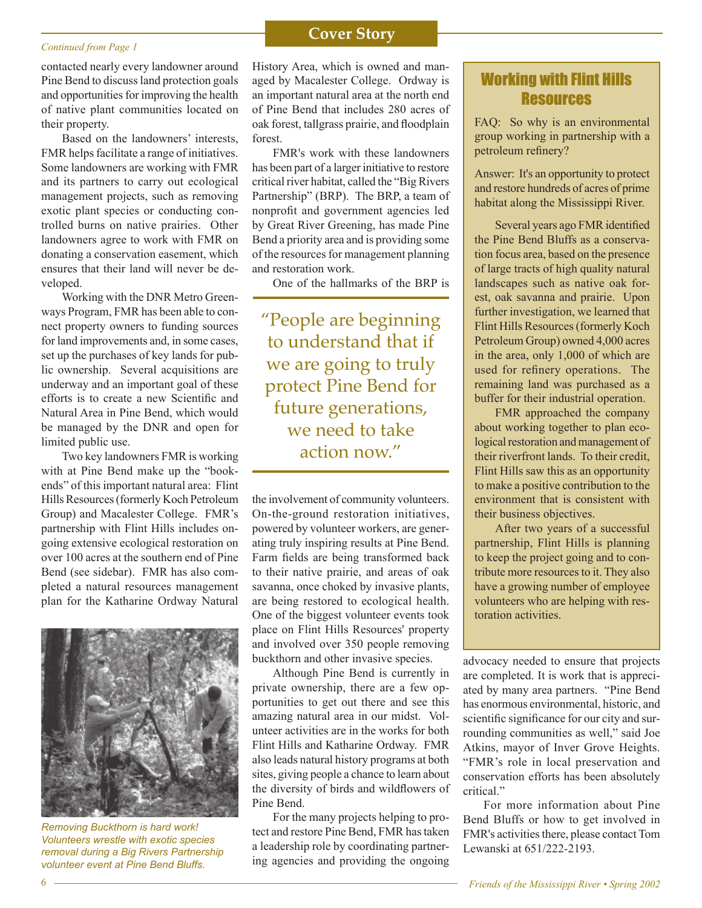### **Cover Story**<br> **Cover Story**

contacted nearly every landowner around Pine Bend to discuss land protection goals and opportunities for improving the health of native plant communities located on their property.

Based on the landowners' interests, FMR helps facilitate a range of initiatives. Some landowners are working with FMR and its partners to carry out ecological management projects, such as removing exotic plant species or conducting controlled burns on native prairies. Other landowners agree to work with FMR on donating a conservation easement, which ensures that their land will never be developed.

Working with the DNR Metro Greenways Program, FMR has been able to connect property owners to funding sources for land improvements and, in some cases, set up the purchases of key lands for public ownership. Several acquisitions are underway and an important goal of these efforts is to create a new Scientific and Natural Area in Pine Bend, which would be managed by the DNR and open for limited public use.

Two key landowners FMR is working with at Pine Bend make up the "bookends" of this important natural area: Flint Hills Resources (formerly Koch Petroleum Group) and Macalester College. FMR's partnership with Flint Hills includes ongoing extensive ecological restoration on over 100 acres at the southern end of Pine Bend (see sidebar). FMR has also completed a natural resources management plan for the Katharine Ordway Natural



*Removing Buckthorn is hard work! Volunteers wrestle with exotic species removal during a Big Rivers Partnership volunteer event at Pine Bend Bluffs.*

History Area, which is owned and managed by Macalester College. Ordway is an important natural area at the north end of Pine Bend that includes 280 acres of oak forest, tallgrass prairie, and floodplain forest.

FMR's work with these landowners has been part of a larger initiative to restore critical river habitat, called the "Big Rivers Partnership" (BRP). The BRP, a team of nonprofit and government agencies led by Great River Greening, has made Pine Bend a priority area and is providing some of the resources for management planning and restoration work.

One of the hallmarks of the BRP is

"People are beginning to understand that if we are going to truly protect Pine Bend for future generations, we need to take action now."

the involvement of community volunteers. On-the-ground restoration initiatives, powered by volunteer workers, are generating truly inspiring results at Pine Bend. Farm fields are being transformed back to their native prairie, and areas of oak savanna, once choked by invasive plants, are being restored to ecological health. One of the biggest volunteer events took place on Flint Hills Resources' property and involved over 350 people removing buckthorn and other invasive species.

Although Pine Bend is currently in private ownership, there are a few opportunities to get out there and see this amazing natural area in our midst. Volunteer activities are in the works for both Flint Hills and Katharine Ordway. FMR also leads natural history programs at both sites, giving people a chance to learn about the diversity of birds and wildflowers of Pine Bend.

For the many projects helping to protect and restore Pine Bend, FMR has taken a leadership role by coordinating partnering agencies and providing the ongoing

### Working with Flint Hills Resources

FAQ: So why is an environmental group working in partnership with a petroleum refinery?

Answer: It's an opportunity to protect and restore hundreds of acres of prime habitat along the Mississippi River.

Several years ago FMR identified the Pine Bend Bluffs as a conservation focus area, based on the presence of large tracts of high quality natural landscapes such as native oak forest, oak savanna and prairie. Upon further investigation, we learned that Flint Hills Resources (formerly Koch Petroleum Group) owned 4,000 acres in the area, only 1,000 of which are used for refinery operations. The remaining land was purchased as a buffer for their industrial operation.

FMR approached the company about working together to plan ecological restoration and management of their riverfront lands. To their credit, Flint Hills saw this as an opportunity to make a positive contribution to the environment that is consistent with their business objectives.

After two years of a successful partnership, Flint Hills is planning to keep the project going and to contribute more resources to it. They also have a growing number of employee volunteers who are helping with restoration activities.

advocacy needed to ensure that projects are completed. It is work that is appreciated by many area partners. "Pine Bend has enormous environmental, historic, and scientific significance for our city and surrounding communities as well," said Joe Atkins, mayor of Inver Grove Heights. "FMR's role in local preservation and conservation efforts has been absolutely critical."

For more information about Pine Bend Bluffs or how to get involved in FMR's activities there, please contact Tom Lewanski at 651/222-2193.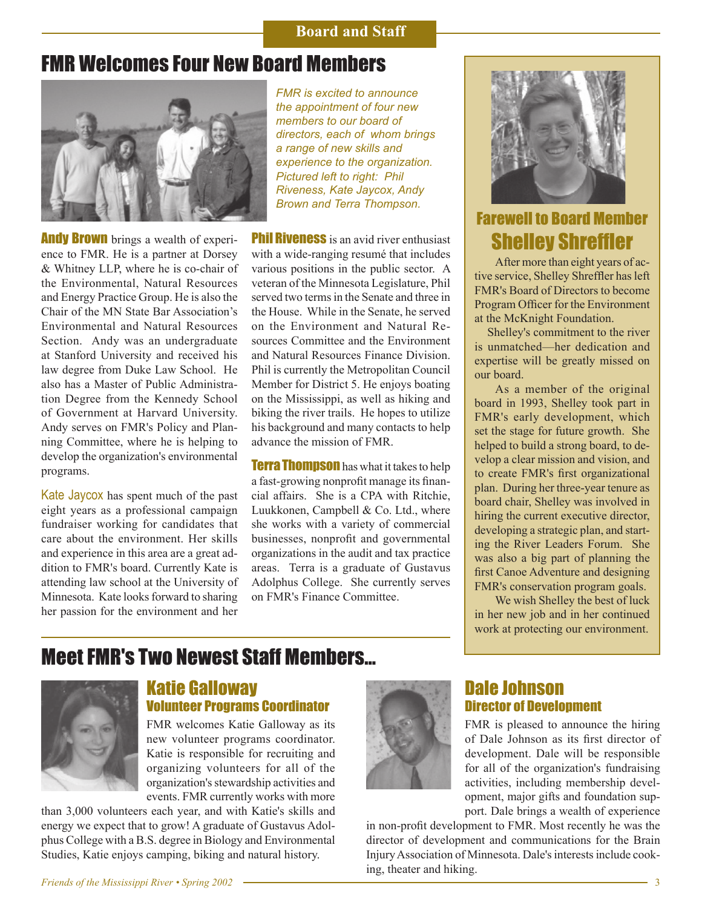### **Board and Staff**

### FMR Welcomes Four New Board Members



**Andy Brown** brings a wealth of experience to FMR. He is a partner at Dorsey & Whitney LLP, where he is co-chair of the Environmental, Natural Resources and Energy Practice Group. He is also the Chair of the MN State Bar Association's Environmental and Natural Resources Section. Andy was an undergraduate at Stanford University and received his law degree from Duke Law School. He also has a Master of Public Administration Degree from the Kennedy School of Government at Harvard University. Andy serves on FMR's Policy and Planning Committee, where he is helping to develop the organization's environmental programs.

Kate Jaycox has spent much of the past eight years as a professional campaign fundraiser working for candidates that care about the environment. Her skills and experience in this area are a great addition to FMR's board. Currently Kate is attending law school at the University of Minnesota. Kate looks forward to sharing her passion for the environment and her

*FMR is excited to announce the appointment of four new members to our board of directors, each of whom brings a range of new skills and experience to the organization. Pictured left to right: Phil Riveness, Kate Jaycox, Andy Brown and Terra Thompson.*

**Phil Riveness** is an avid river enthusiast with a wide-ranging resumé that includes various positions in the public sector. A veteran of the Minnesota Legislature, Phil served two terms in the Senate and three in the House. While in the Senate, he served on the Environment and Natural Resources Committee and the Environment and Natural Resources Finance Division. Phil is currently the Metropolitan Council Member for District 5. He enjoys boating on the Mississippi, as well as hiking and biking the river trails. He hopes to utilize his background and many contacts to help advance the mission of FMR.

**Terra Thompson** has what it takes to help a fast-growing nonprofit manage its financial affairs. She is a CPA with Ritchie, Luukkonen, Campbell & Co. Ltd., where she works with a variety of commercial businesses, nonprofit and governmental organizations in the audit and tax practice areas. Terra is a graduate of Gustavus Adolphus College. She currently serves on FMR's Finance Committee.



### Farewell to Board Member Shelley Shreffler

After more than eight years of active service, Shelley Shreffler has left FMR's Board of Directors to become Program Officer for the Environment at the McKnight Foundation.

 Shelley's commitment to the river is unmatched—her dedication and expertise will be greatly missed on our board.

As a member of the original board in 1993, Shelley took part in FMR's early development, which set the stage for future growth. She helped to build a strong board, to develop a clear mission and vision, and to create FMR's first organizational plan. During her three-year tenure as board chair, Shelley was involved in hiring the current executive director, developing a strategic plan, and starting the River Leaders Forum. She was also a big part of planning the first Canoe Adventure and designing FMR's conservation program goals.

We wish Shelley the best of luck in her new job and in her continued work at protecting our environment.

### Meet FMR's Two Newest Staff Members...



### Katie Galloway Volunteer Programs Coordinator

FMR welcomes Katie Galloway as its new volunteer programs coordinator. Katie is responsible for recruiting and organizing volunteers for all of the organization's stewardship activities and events. FMR currently works with more

than 3,000 volunteers each year, and with Katie's skills and energy we expect that to grow! A graduate of Gustavus Adolphus College with a B.S. degree in Biology and Environmental Studies, Katie enjoys camping, biking and natural history.



### Dale Johnson Director of Development

FMR is pleased to announce the hiring of Dale Johnson as its first director of development. Dale will be responsible for all of the organization's fundraising activities, including membership development, major gifts and foundation support. Dale brings a wealth of experience

in non-profit development to FMR. Most recently he was the director of development and communications for the Brain Injury Association of Minnesota. Dale's interests include cooking, theater and hiking.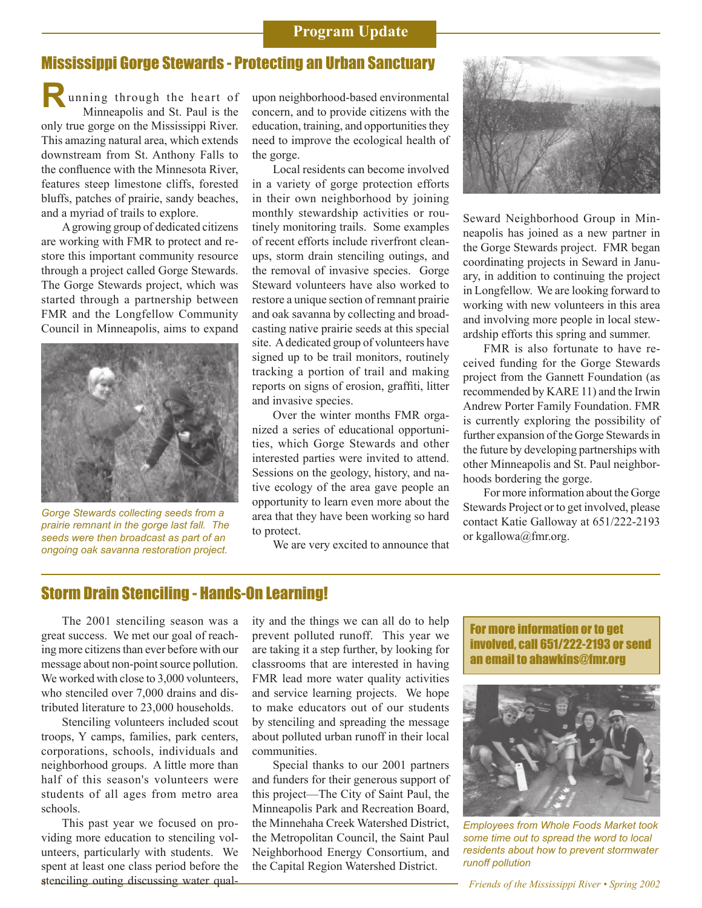### **Program Update**

### Mississippi Gorge Stewards - Protecting an Urban Sanctuary

 unning through the heart of Minneapolis and St. Paul is the only true gorge on the Mississippi River. This amazing natural area, which extends downstream from St. Anthony Falls to the confluence with the Minnesota River, features steep limestone cliffs, forested bluffs, patches of prairie, sandy beaches, and a myriad of trails to explore. **R**

A growing group of dedicated citizens are working with FMR to protect and restore this important community resource through a project called Gorge Stewards. The Gorge Stewards project, which was started through a partnership between FMR and the Longfellow Community Council in Minneapolis, aims to expand



*Gorge Stewards collecting seeds from a prairie remnant in the gorge last fall. The seeds were then broadcast as part of an ongoing oak savanna restoration project.*

upon neighborhood-based environmental concern, and to provide citizens with the education, training, and opportunities they need to improve the ecological health of the gorge.

Local residents can become involved in a variety of gorge protection efforts in their own neighborhood by joining monthly stewardship activities or routinely monitoring trails. Some examples of recent efforts include riverfront cleanups, storm drain stenciling outings, and the removal of invasive species. Gorge Steward volunteers have also worked to restore a unique section of remnant prairie and oak savanna by collecting and broadcasting native prairie seeds at this special site. A dedicated group of volunteers have signed up to be trail monitors, routinely tracking a portion of trail and making reports on signs of erosion, graffiti, litter and invasive species.

Over the winter months FMR organized a series of educational opportunities, which Gorge Stewards and other interested parties were invited to attend. Sessions on the geology, history, and native ecology of the area gave people an opportunity to learn even more about the area that they have been working so hard to protect.

We are very excited to announce that



Seward Neighborhood Group in Minneapolis has joined as a new partner in the Gorge Stewards project. FMR began coordinating projects in Seward in January, in addition to continuing the project in Longfellow. We are looking forward to working with new volunteers in this area and involving more people in local stewardship efforts this spring and summer.

FMR is also fortunate to have received funding for the Gorge Stewards project from the Gannett Foundation (as recommended by KARE 11) and the Irwin Andrew Porter Family Foundation. FMR is currently exploring the possibility of further expansion of the Gorge Stewards in the future by developing partnerships with other Minneapolis and St. Paul neighborhoods bordering the gorge.

For more information about the Gorge Stewards Project or to get involved, please contact Katie Galloway at 651/222-2193 or kgallowa@fmr.org.

### Storm Drain Stenciling - Hands-On Learning!

The 2001 stenciling season was a great success. We met our goal of reaching more citizens than ever before with our message about non-point source pollution. We worked with close to 3,000 volunteers, who stenciled over 7,000 drains and distributed literature to 23,000 households.

Stenciling volunteers included scout troops, Y camps, families, park centers, corporations, schools, individuals and neighborhood groups. A little more than half of this season's volunteers were students of all ages from metro area schools.

This past year we focused on providing more education to stenciling volunteers, particularly with students. We spent at least one class period before the stenciling outing discussing water quality and the things we can all do to help prevent polluted runoff. This year we are taking it a step further, by looking for classrooms that are interested in having FMR lead more water quality activities and service learning projects. We hope to make educators out of our students by stenciling and spreading the message about polluted urban runoff in their local communities.

Special thanks to our 2001 partners and funders for their generous support of this project—The City of Saint Paul, the Minneapolis Park and Recreation Board, the Minnehaha Creek Watershed District, the Metropolitan Council, the Saint Paul Neighborhood Energy Consortium, and the Capital Region Watershed District.

For more information or to get involved, call 651/222-2193 or send an email to ahawkins@fmr.org



*Employees from Whole Foods Market took some time out to spread the word to local residents about how to prevent stormwater runoff pollution*

4 *Friends of the Mississippi River • Spring 2002*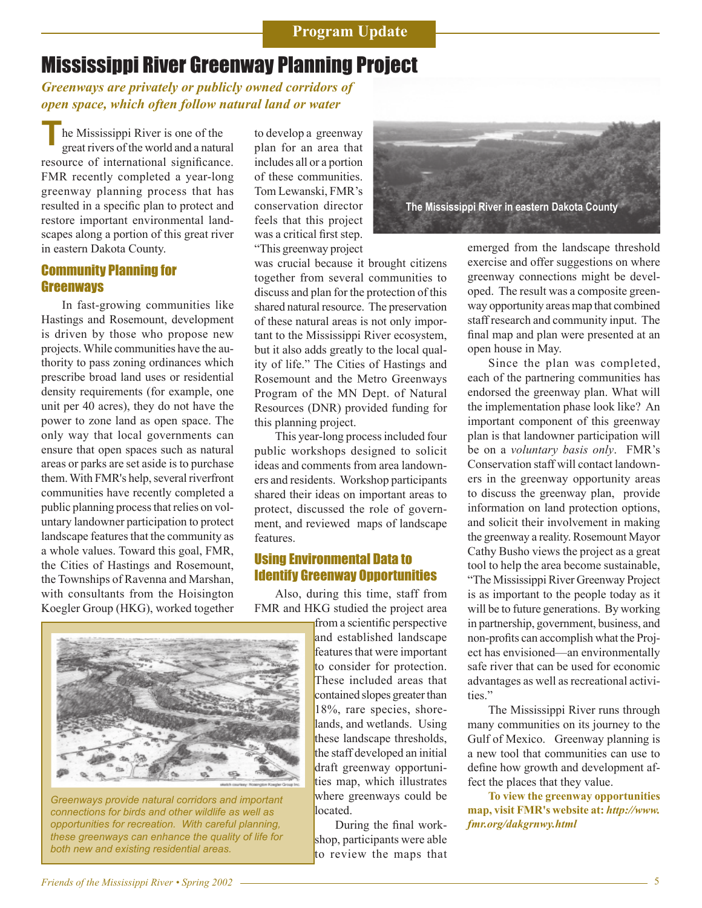### Mississippi River Greenway Planning Project

*Greenways are privately or publicly owned corridors of open space, which often follow natural land or water* 

he Mississippi River is one of the great rivers of the world and a natural resource of international significance. FMR recently completed a year-long greenway planning process that has resulted in a specific plan to protect and restore important environmental landscapes along a portion of this great river in eastern Dakota County. **T**

#### Community Planning for **Greenways**

In fast-growing communities like Hastings and Rosemount, development is driven by those who propose new projects. While communities have the authority to pass zoning ordinances which prescribe broad land uses or residential density requirements (for example, one unit per 40 acres), they do not have the power to zone land as open space. The only way that local governments can ensure that open spaces such as natural areas or parks are set aside is to purchase them. With FMR's help, several riverfront communities have recently completed a public planning process that relies on voluntary landowner participation to protect landscape features that the community as a whole values. Toward this goal, FMR, the Cities of Hastings and Rosemount, the Townships of Ravenna and Marshan, with consultants from the Hoisington Koegler Group (HKG), worked together

to develop a greenway plan for an area that includes all or a portion of these communities. Tom Lewanski, FMR's conservation director feels that this project was a critical first step. "This greenway project



was crucial because it brought citizens together from several communities to discuss and plan for the protection of this shared natural resource. The preservation of these natural areas is not only important to the Mississippi River ecosystem, but it also adds greatly to the local quality of life." The Cities of Hastings and Rosemount and the Metro Greenways Program of the MN Dept. of Natural Resources (DNR) provided funding for this planning project.

This year-long process included four public workshops designed to solicit ideas and comments from area landowners and residents. Workshop participants shared their ideas on important areas to protect, discussed the role of government, and reviewed maps of landscape features.

### Using Environmental Data to Identify Greenway Opportunities

Also, during this time, staff from FMR and HKG studied the project area

from a scientific perspective and established landscape features that were important to consider for protection. These included areas that contained slopes greater than 18%, rare species, shorelands, and wetlands. Using these landscape thresholds, the staff developed an initial draft greenway opportunities map, which illustrates where greenways could be located.

During the final workshop, participants were able to review the maps that emerged from the landscape threshold exercise and offer suggestions on where greenway connections might be developed. The result was a composite greenway opportunity areas map that combined staff research and community input. The final map and plan were presented at an open house in May.

Since the plan was completed, each of the partnering communities has endorsed the greenway plan. What will the implementation phase look like? An important component of this greenway plan is that landowner participation will be on a *voluntary basis only*. FMR's Conservation staff will contact landowners in the greenway opportunity areas to discuss the greenway plan, provide information on land protection options, and solicit their involvement in making the greenway a reality. Rosemount Mayor Cathy Busho views the project as a great tool to help the area become sustainable, "The Mississippi River Greenway Project is as important to the people today as it will be to future generations. By working in partnership, government, business, and non-profits can accomplish what the Project has envisioned—an environmentally safe river that can be used for economic advantages as well as recreational activities."

The Mississippi River runs through many communities on its journey to the Gulf of Mexico. Greenway planning is a new tool that communities can use to define how growth and development affect the places that they value.

**To view the greenway opportunities map, visit FMR's website at:** *http://www. fmr.org/dakgrnwy.html*



*Greenways provide natural corridors and important connections for birds and other wildlife as well as opportunities for recreation. With careful planning, these greenways can enhance the quality of life for both new and existing residential areas.*